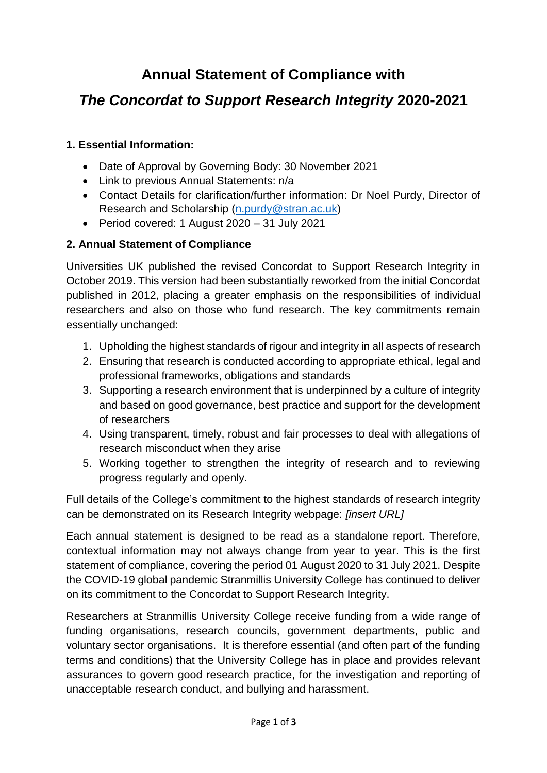# **Annual Statement of Compliance with**

# *The Concordat to Support Research Integrity* **2020-2021**

### **1. Essential Information:**

- Date of Approval by Governing Body: 30 November 2021
- Link to previous Annual Statements: n/a
- Contact Details for clarification/further information: Dr Noel Purdy, Director of Research and Scholarship [\(n.purdy@stran.ac.uk\)](mailto:n.purdy@stran.ac.uk)
- Period covered: 1 August 2020 31 July 2021

### **2. Annual Statement of Compliance**

Universities UK published the revised Concordat to Support Research Integrity in October 2019. This version had been substantially reworked from the initial Concordat published in 2012, placing a greater emphasis on the responsibilities of individual researchers and also on those who fund research. The key commitments remain essentially unchanged:

- 1. Upholding the highest standards of rigour and integrity in all aspects of research
- 2. Ensuring that research is conducted according to appropriate ethical, legal and professional frameworks, obligations and standards
- 3. Supporting a research environment that is underpinned by a culture of integrity and based on good governance, best practice and support for the development of researchers
- 4. Using transparent, timely, robust and fair processes to deal with allegations of research misconduct when they arise
- 5. Working together to strengthen the integrity of research and to reviewing progress regularly and openly.

Full details of the College's commitment to the highest standards of research integrity can be demonstrated on its Research Integrity webpage: *[insert URL]*

Each annual statement is designed to be read as a standalone report. Therefore, contextual information may not always change from year to year. This is the first statement of compliance, covering the period 01 August 2020 to 31 July 2021. Despite the COVID-19 global pandemic Stranmillis University College has continued to deliver on its commitment to the Concordat to Support Research Integrity.

Researchers at Stranmillis University College receive funding from a wide range of funding organisations, research councils, government departments, public and voluntary sector organisations. It is therefore essential (and often part of the funding terms and conditions) that the University College has in place and provides relevant assurances to govern good research practice, for the investigation and reporting of unacceptable research conduct, and bullying and harassment.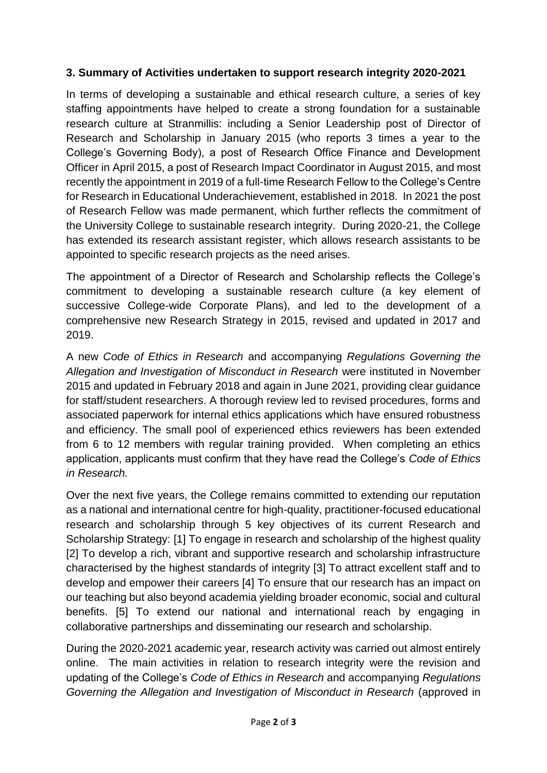#### **3. Summary of Activities undertaken to support research integrity 2020-2021**

In terms of developing a sustainable and ethical research culture, a series of key staffing appointments have helped to create a strong foundation for a sustainable research culture at Stranmillis: including a Senior Leadership post of Director of Research and Scholarship in January 2015 (who reports 3 times a year to the College's Governing Body), a post of Research Office Finance and Development Officer in April 2015, a post of Research Impact Coordinator in August 2015, and most recently the appointment in 2019 of a full-time Research Fellow to the College's Centre for Research in Educational Underachievement, established in 2018. In 2021 the post of Research Fellow was made permanent, which further reflects the commitment of the University College to sustainable research integrity. During 2020-21, the College has extended its research assistant register, which allows research assistants to be appointed to specific research projects as the need arises.

The appointment of a Director of Research and Scholarship reflects the College's commitment to developing a sustainable research culture (a key element of successive College-wide Corporate Plans), and led to the development of a comprehensive new Research Strategy in 2015, revised and updated in 2017 and 2019.

A new *Code of Ethics in Research* and accompanying *Regulations Governing the Allegation and Investigation of Misconduct in Research* were instituted in November 2015 and updated in February 2018 and again in June 2021, providing clear guidance for staff/student researchers. A thorough review led to revised procedures, forms and associated paperwork for internal ethics applications which have ensured robustness and efficiency. The small pool of experienced ethics reviewers has been extended from 6 to 12 members with regular training provided. When completing an ethics application, applicants must confirm that they have read the College's *Code of Ethics in Research.*

Over the next five years, the College remains committed to extending our reputation as a national and international centre for high-quality, practitioner-focused educational research and scholarship through 5 key objectives of its current Research and Scholarship Strategy: [1] To engage in research and scholarship of the highest quality [2] To develop a rich, vibrant and supportive research and scholarship infrastructure characterised by the highest standards of integrity [3] To attract excellent staff and to develop and empower their careers [4] To ensure that our research has an impact on our teaching but also beyond academia yielding broader economic, social and cultural benefits. [5] To extend our national and international reach by engaging in collaborative partnerships and disseminating our research and scholarship.

During the 2020-2021 academic year, research activity was carried out almost entirely online. The main activities in relation to research integrity were the revision and updating of the College's *Code of Ethics in Research* and accompanying *Regulations Governing the Allegation and Investigation of Misconduct in Research* (approved in